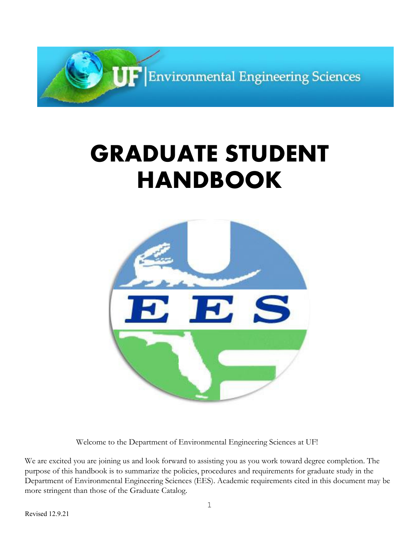

# **GRADUATE STUDENT HANDBOOK**



Welcome to the Department of Environmental Engineering Sciences at UF!

We are excited you are joining us and look forward to assisting you as you work toward degree completion. The purpose of this handbook is to summarize the policies, procedures and requirements for graduate study in the Department of Environmental Engineering Sciences (EES). Academic requirements cited in this document may be more stringent than those of the Graduate Catalog.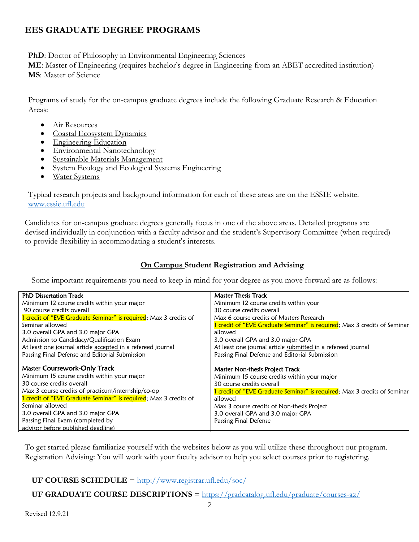# **EES GRADUATE DEGREE PROGRAMS**

**PhD**: Doctor of Philosophy in Environmental Engineering Sciences

**ME**: Master of Engineering (requires bachelor's degree in Engineering from an ABET accredited institution) **MS**: Master of Science

Programs of study for the on-campus graduate degrees include the following Graduate Research & Education Areas:

- Air Resources
- Coastal Ecosystem Dynamics
- Engineering Education
- Environmental Nanotechnology
- Sustainable Materials Management
- System Ecology and Ecological Systems Engineering
- Water Systems

Typical research projects and background information for each of these areas are on the ESSIE website. www.essie.ufl.edu

Candidates for on-campus graduate degrees generally focus in one of the above areas. Detailed programs are devised individually in conjunction with a faculty advisor and the student's Supervisory Committee (when required) to provide flexibility in accommodating a student's interests.

## **On Campus Student Registration and Advising**

Some important requirements you need to keep in mind for your degree as you move forward are as follows:

| <b>PhD Dissertation Track</b>                                    | <b>Master Thesis Track</b>                                               |  |  |
|------------------------------------------------------------------|--------------------------------------------------------------------------|--|--|
| Minimum 12 course credits within your major                      | Minimum 12 course credits within your                                    |  |  |
| 90 course credits overall                                        | 30 course credits overall                                                |  |  |
| 1 credit of "EVE Graduate Seminar" is required; Max 3 credits of | Max 6 course credits of Masters Research                                 |  |  |
| Seminar allowed                                                  | 1 credit of "EVE Graduate Seminar" is required; Max 3 credits of Seminar |  |  |
| 3.0 overall GPA and 3.0 major GPA                                | allowed                                                                  |  |  |
| Admission to Candidacy/Qualification Exam                        | 3.0 overall GPA and 3.0 major GPA                                        |  |  |
| At least one journal article accepted in a refereed journal      | At least one journal article submitted in a refereed journal             |  |  |
| Passing Final Defense and Editorial Submission                   | Passing Final Defense and Editorial Submission                           |  |  |
|                                                                  |                                                                          |  |  |
| <b>Master Coursework-Only Track</b>                              | Master Non-thesis Project Track                                          |  |  |
| Minimum 15 course credits within your major                      | Minimum 15 course credits within your major                              |  |  |
| 30 course credits overall                                        | 30 course credits overall                                                |  |  |
| Max 3 course credits of practicum/internship/co-op               | 1 credit of "EVE Graduate Seminar" is required; Max 3 credits of Seminar |  |  |
| 1 credit of "EVE Graduate Seminar" is required; Max 3 credits of | allowed                                                                  |  |  |
| Seminar allowed                                                  | Max 3 course credits of Non-thesis Project                               |  |  |
| 3.0 overall GPA and 3.0 major GPA                                | 3.0 overall GPA and 3.0 major GPA                                        |  |  |
|                                                                  |                                                                          |  |  |
| Passing Final Exam (completed by                                 | Passing Final Defense                                                    |  |  |

To get started please familiarize yourself with the websites below as you will utilize these throughout our program. Registration Advising: You will work with your faculty advisor to help you select courses prior to registering.

## **UF COURSE SCHEDULE** = http://www.registrar.ufl.edu/soc/

**UF GRADUATE COURSE DESCRIPTIONS** = https://gradcatalog.ufl.edu/graduate/courses-az/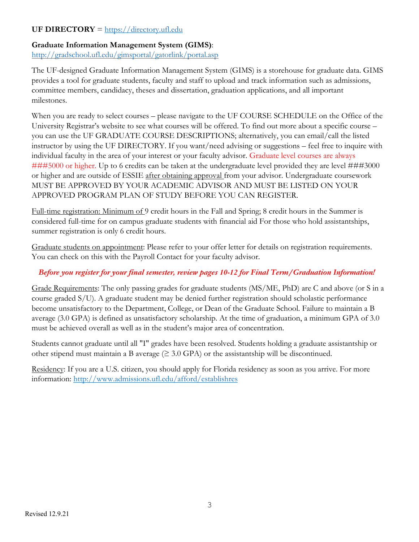## **UF DIRECTORY** = https://directory.ufl.edu

#### **Graduate Information Management System (GIMS)**:

http://gradschool.ufl.edu/gimsportal/gatorlink/portal.asp

The UF-designed Graduate Information Management System (GIMS) is a storehouse for graduate data. GIMS provides a tool for graduate students, faculty and staff to upload and track information such as admissions, committee members, candidacy, theses and dissertation, graduation applications, and all important milestones.

When you are ready to select courses – please navigate to the UF COURSE SCHEDULE on the Office of the University Registrar's website to see what courses will be offered. To find out more about a specific course – you can use the UF GRADUATE COURSE DESCRIPTIONS; alternatively, you can email/call the listed instructor by using the UF DIRECTORY. If you want/need advising or suggestions – feel free to inquire with individual faculty in the area of your interest or your faculty advisor. Graduate level courses are always ###5000 or higher. Up to 6 credits can be taken at the undergraduate level provided they are level ###3000 or higher and are outside of ESSIE after obtaining approval from your advisor. Undergraduate coursework MUST BE APPROVED BY YOUR ACADEMIC ADVISOR AND MUST BE LISTED ON YOUR APPROVED PROGRAM PLAN OF STUDY BEFORE YOU CAN REGISTER.

Full-time registration: Minimum of 9 credit hours in the Fall and Spring; 8 credit hours in the Summer is considered full-time for on campus graduate students with financial aid For those who hold assistantships, summer registration is only 6 credit hours.

Graduate students on appointment: Please refer to your offer letter for details on registration requirements. You can check on this with the Payroll Contact for your faculty advisor.

#### *Before you register for your final semester, review pages 10-12 for Final Term/Graduation Information!*

Grade Requirements: The only passing grades for graduate students (MS/ME, PhD) are C and above (or S in a course graded S/U). A graduate student may be denied further registration should scholastic performance become unsatisfactory to the Department, College, or Dean of the Graduate School. Failure to maintain a B average (3.0 GPA) is defined as unsatisfactory scholarship. At the time of graduation, a minimum GPA of 3.0 must be achieved overall as well as in the student's major area of concentration.

Students cannot graduate until all "I" grades have been resolved. Students holding a graduate assistantship or other stipend must maintain a B average  $(\geq 3.0 \text{ GPA})$  or the assistantship will be discontinued.

Residency: If you are a U.S. citizen, you should apply for Florida residency as soon as you arrive. For more information: http://www.admissions.ufl.edu/afford/establishres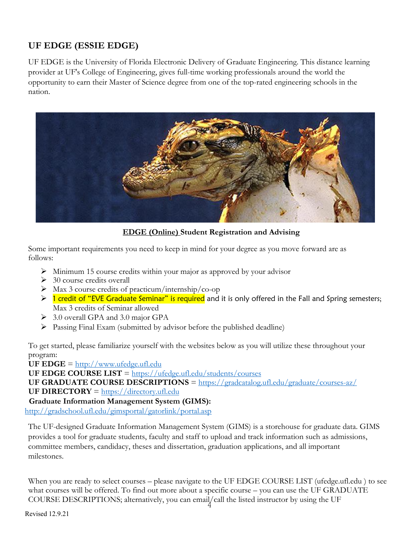# **UF EDGE (ESSIE EDGE)**

UF EDGE is the University of Florida Electronic Delivery of Graduate Engineering. This distance learning provider at UF's College of Engineering, gives full-time working professionals around the world the opportunity to earn their Master of Science degree from one of the top-rated engineering schools in the nation.



**EDGE (Online) Student Registration and Advising**

Some important requirements you need to keep in mind for your degree as you move forward are as follows:

- $\triangleright$  Minimum 15 course credits within your major as approved by your advisor
- $\geq$  30 course credits overall
- Ø Max 3 course credits of practicum/internship/co-op
- $\triangleright$  1 credit of "EVE Graduate Seminar" is required and it is only offered in the Fall and Spring semesters; Max 3 credits of Seminar allowed
- $\geq 3.0$  overall GPA and 3.0 major GPA
- $\triangleright$  Passing Final Exam (submitted by advisor before the published deadline)

To get started, please familiarize yourself with the websites below as you will utilize these throughout your program:

**UF EDGE** =  $\frac{http://www.ufedge.uf..edu}{http://www.ufedge.uf..edu}$ 

**UF EDGE COURSE LIST** = https://ufedge.ufl.edu/students/courses

**UF GRADUATE COURSE DESCRIPTIONS** = https://gradcatalog.ufl.edu/graduate/courses-az/

**UF DIRECTORY** = https://directory.ufl.edu

## **Graduate Information Management System (GIMS):**

http://gradschool.ufl.edu/gimsportal/gatorlink/portal.asp

The UF-designed Graduate Information Management System (GIMS) is a storehouse for graduate data. GIMS provides a tool for graduate students, faculty and staff to upload and track information such as admissions, committee members, candidacy, theses and dissertation, graduation applications, and all important milestones.

When you are ready to select courses – please navigate to the UF EDGE COURSE LIST (ufedge.ufl.edu) to see what courses will be offered. To find out more about a specific course – you can use the UF GRADUATE COURSE DESCRIPTIONS; alternatively, you can email/call the listed instructor by using the UF

Revised 12.9.21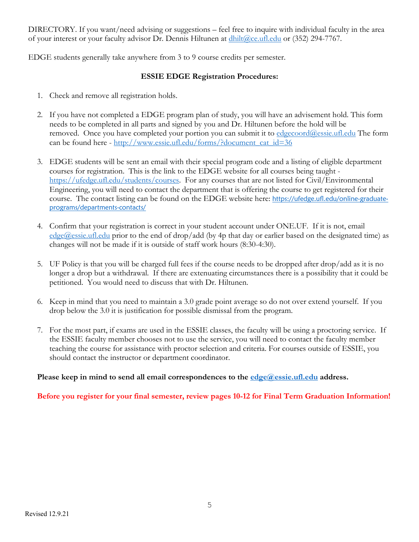DIRECTORY. If you want/need advising or suggestions – feel free to inquire with individual faculty in the area of your interest or your faculty advisor Dr. Dennis Hiltunen at  $\frac{dhilt(\partial_{\mathcal{C}} c \cdot ufl.edu)}{dt}$  or (352) 294-7767.

EDGE students generally take anywhere from 3 to 9 course credits per semester.

#### **ESSIE EDGE Registration Procedures:**

- 1. Check and remove all registration holds.
- 2. If you have not completed a EDGE program plan of study, you will have an advisement hold. This form needs to be completed in all parts and signed by you and Dr. Hiltunen before the hold will be removed. Once you have completed your portion you can submit it to edgecoord@essie.ufl.edu The form can be found here - http://www.essie.ufl.edu/forms/?document\_cat\_id=36
- 3. EDGE students will be sent an email with their special program code and a listing of eligible department courses for registration. This is the link to the EDGE website for all courses being taught https://ufedge.ufl.edu/students/courses. For any courses that are not listed for Civil/Environmental Engineering, you will need to contact the department that is offering the course to get registered for their course. The contact listing can be found on the EDGE website here: https://ufedge.ufl.edu/online-graduateprograms/departments-contacts/
- 4. Confirm that your registration is correct in your student account under ONE.UF. If it is not, email  $edge@essie.util.edu$  prior to the end of drop/add (by 4p that day or earlier based on the designated time) as changes will not be made if it is outside of staff work hours (8:30-4:30).
- 5. UF Policy is that you will be charged full fees if the course needs to be dropped after drop/add as it is no longer a drop but a withdrawal. If there are extenuating circumstances there is a possibility that it could be petitioned. You would need to discuss that with Dr. Hiltunen.
- 6. Keep in mind that you need to maintain a 3.0 grade point average so do not over extend yourself. If you drop below the 3.0 it is justification for possible dismissal from the program.
- 7. For the most part, if exams are used in the ESSIE classes, the faculty will be using a proctoring service. If the ESSIE faculty member chooses not to use the service, you will need to contact the faculty member teaching the course for assistance with proctor selection and criteria. For courses outside of ESSIE, you should contact the instructor or department coordinator.

**Please keep in mind to send all email correspondences to the edge@essie.ufl.edu address.** 

**Before you register for your final semester, review pages 10-12 for Final Term Graduation Information!**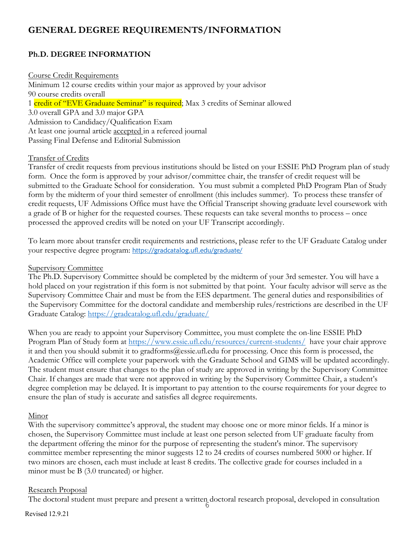# **GENERAL DEGREE REQUIREMENTS/INFORMATION**

## **Ph.D. DEGREE INFORMATION**

#### Course Credit Requirements

Minimum 12 course credits within your major as approved by your advisor 90 course credits overall 1 credit of "EVE Graduate Seminar" is required; Max 3 credits of Seminar allowed 3.0 overall GPA and 3.0 major GPA Admission to Candidacy/Qualification Exam At least one journal article accepted in a refereed journal Passing Final Defense and Editorial Submission

#### Transfer of Credits

Transfer of credit requests from previous institutions should be listed on your ESSIE PhD Program plan of study form. Once the form is approved by your advisor/committee chair, the transfer of credit request will be submitted to the Graduate School for consideration. You must submit a completed PhD Program Plan of Study form by the midterm of your third semester of enrollment (this includes summer). To process these transfer of credit requests, UF Admissions Office must have the Official Transcript showing graduate level coursework with a grade of B or higher for the requested courses. These requests can take several months to process – once processed the approved credits will be noted on your UF Transcript accordingly.

To learn more about transfer credit requirements and restrictions, please refer to the UF Graduate Catalog under your respective degree program: https://gradcatalog.ufl.edu/graduate/

#### Supervisory Committee

The Ph.D. Supervisory Committee should be completed by the midterm of your 3rd semester. You will have a hold placed on your registration if this form is not submitted by that point. Your faculty advisor will serve as the Supervisory Committee Chair and must be from the EES department. The general duties and responsibilities of the Supervisory Committee for the doctoral candidate and membership rules/restrictions are described in the UF Graduate Catalog: https://gradcatalog.ufl.edu/graduate/

When you are ready to appoint your Supervisory Committee, you must complete the on-line ESSIE PhD Program Plan of Study form at https://www.essie.ufl.edu/resources/current-students/ have your chair approve it and then you should submit it to gradforms@essie.ufl.edu for processing. Once this form is processed, the Academic Office will complete your paperwork with the Graduate School and GIMS will be updated accordingly. The student must ensure that changes to the plan of study are approved in writing by the Supervisory Committee Chair. If changes are made that were not approved in writing by the Supervisory Committee Chair, a student's degree completion may be delayed. It is important to pay attention to the course requirements for your degree to ensure the plan of study is accurate and satisfies all degree requirements.

#### Minor

With the supervisory committee's approval, the student may choose one or more minor fields. If a minor is chosen, the Supervisory Committee must include at least one person selected from UF graduate faculty from the department offering the minor for the purpose of representing the student's minor. The supervisory committee member representing the minor suggests 12 to 24 credits of courses numbered 5000 or higher. If two minors are chosen, each must include at least 8 credits. The collective grade for courses included in a minor must be B (3.0 truncated) or higher.

#### Research Proposal

6 The doctoral student must prepare and present a written doctoral research proposal, developed in consultation

#### Revised 12.9.21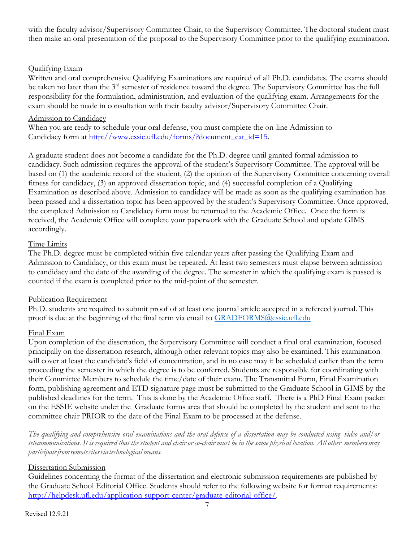with the faculty advisor/Supervisory Committee Chair, to the Supervisory Committee. The doctoral student must then make an oral presentation of the proposal to the Supervisory Committee prior to the qualifying examination.

#### Qualifying Exam

Written and oral comprehensive Qualifying Examinations are required of all Ph.D. candidates. The exams should be taken no later than the 3<sup>rd</sup> semester of residence toward the degree. The Supervisory Committee has the full responsibility for the formulation, administration, and evaluation of the qualifying exam. Arrangements for the exam should be made in consultation with their faculty advisor/Supervisory Committee Chair.

#### Admission to Candidacy

When you are ready to schedule your oral defense, you must complete the on-line Admission to Candidacy form at http://www.essie.ufl.edu/forms/?document\_cat\_id=15.

A graduate student does not become a candidate for the Ph.D. degree until granted formal admission to candidacy. Such admission requires the approval of the student's Supervisory Committee. The approval will be based on (1) the academic record of the student, (2) the opinion of the Supervisory Committee concerning overall fitness for candidacy, (3) an approved dissertation topic, and (4) successful completion of a Qualifying Examination as described above. Admission to candidacy will be made as soon as the qualifying examination has been passed and a dissertation topic has been approved by the student's Supervisory Committee. Once approved, the completed Admission to Candidacy form must be returned to the Academic Office. Once the form is received, the Academic Office will complete your paperwork with the Graduate School and update GIMS accordingly.

#### Time Limits

The Ph.D. degree must be completed within five calendar years after passing the Qualifying Exam and Admission to Candidacy, or this exam must be repeated. At least two semesters must elapse between admission to candidacy and the date of the awarding of the degree. The semester in which the qualifying exam is passed is counted if the exam is completed prior to the mid-point of the semester.

#### Publication Requirement

Ph.D. students are required to submit proof of at least one journal article accepted in a refereed journal. This proof is due at the beginning of the final term via email to GRADFORMS@essie.ufl.edu

#### Final Exam

Upon completion of the dissertation, the Supervisory Committee will conduct a final oral examination, focused principally on the dissertation research, although other relevant topics may also be examined. This examination will cover at least the candidate's field of concentration, and in no case may it be scheduled earlier than the term proceeding the semester in which the degree is to be conferred. Students are responsible for coordinating with their Committee Members to schedule the time/date of their exam. The Transmittal Form, Final Examination form, publishing agreement and ETD signature page must be submitted to the Graduate School in GIMS by the published deadlines for the term. This is done by the Academic Office staff. There is a PhD Final Exam packet on the ESSIE website under the Graduate forms area that should be completed by the student and sent to the committee chair PRIOR to the date of the Final Exam to be processed at the defense.

The qualifying and comprehensive oral examinations and the oral defense of a dissertation may be conducted using video and/or telecommunications. It is required that the student and chair or co-chair must be in the same physical location. All other members may *participatefromremotesitesviatechnological means.*

#### Dissertation Submission

Guidelines concerning the format of the dissertation and electronic submission requirements are published by the Graduate School Editorial Office. Students should refer to the following website for format requirements: http://helpdesk.ufl.edu/application-support-center/graduate-editorial-office/.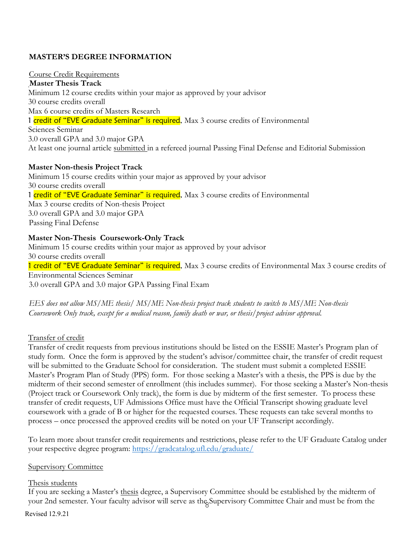#### **MASTER'S DEGREE INFORMATION**

#### Course Credit Requirements

**Master Thesis Track** Minimum 12 course credits within your major as approved by your advisor 30 course credits overall Max 6 course credits of Masters Research 1 credit of "EVE Graduate Seminar" is required, Max 3 course credits of Environmental Sciences Seminar 3.0 overall GPA and 3.0 major GPA At least one journal article submitted in a refereed journal Passing Final Defense and Editorial Submission

#### **Master Non-thesis Project Track**

Minimum 15 course credits within your major as approved by your advisor 30 course credits overall 1 credit of "EVE Graduate Seminar" is required, Max 3 course credits of Environmental Max 3 course credits of Non-thesis Project 3.0 overall GPA and 3.0 major GPA Passing Final Defense

#### **Master Non-Thesis Coursework-Only Track**

Minimum 15 course credits within your major as approved by your advisor 30 course credits overall 1 credit of "EVE Graduate Seminar" is required, Max 3 course credits of Environmental Max 3 course credits of Environmental Sciences Seminar 3.0 overall GPA and 3.0 major GPA Passing Final Exam

*EES does not allow MS/ME thesis/ MS/ME Non-thesis project track students to switch to MS/ME Non-thesis Coursework Only track, except for a medical reason, family death or war, or thesis/project advisor approval.*

#### Transfer of credit

Transfer of credit requests from previous institutions should be listed on the ESSIE Master's Program plan of study form. Once the form is approved by the student's advisor/committee chair, the transfer of credit request will be submitted to the Graduate School for consideration. The student must submit a completed ESSIE Master's Program Plan of Study (PPS) form. For those seeking a Master's with a thesis, the PPS is due by the midterm of their second semester of enrollment (this includes summer). For those seeking a Master's Non-thesis (Project track or Coursework Only track), the form is due by midterm of the first semester. To process these transfer of credit requests, UF Admissions Office must have the Official Transcript showing graduate level coursework with a grade of B or higher for the requested courses. These requests can take several months to process – once processed the approved credits will be noted on your UF Transcript accordingly.

To learn more about transfer credit requirements and restrictions, please refer to the UF Graduate Catalog under your respective degree program: https://gradcatalog.ufl.edu/graduate/

#### Supervisory Committee

#### Thesis students

your 2nd semester. Your faculty advisor will serve as the Supervisory Committee Chair and must be from the If you are seeking a Master's thesis degree, a Supervisory Committee should be established by the midterm of

Revised 12.9.21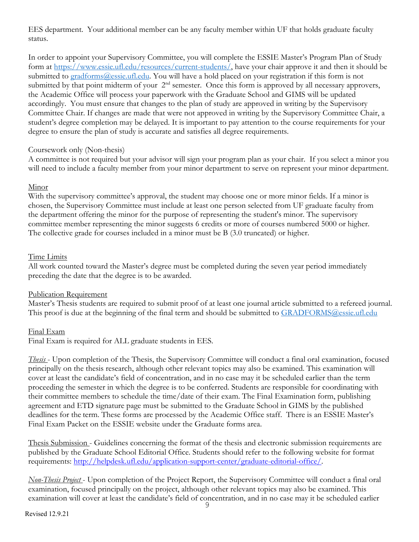EES department. Your additional member can be any faculty member within UF that holds graduate faculty status.

In order to appoint your Supervisory Committee, you will complete the ESSIE Master's Program Plan of Study form at https://www.essie.ufl.edu/resources/current-students/, have your chair approve it and then it should be submitted to gradforms@essie.ufl.edu. You will have a hold placed on your registration if this form is not submitted by that point midterm of your  $2<sup>nd</sup>$  semester. Once this form is approved by all necessary approvers, the Academic Office will process your paperwork with the Graduate School and GIMS will be updated accordingly. You must ensure that changes to the plan of study are approved in writing by the Supervisory Committee Chair. If changes are made that were not approved in writing by the Supervisory Committee Chair, a student's degree completion may be delayed. It is important to pay attention to the course requirements for your degree to ensure the plan of study is accurate and satisfies all degree requirements.

#### Coursework only (Non-thesis)

A committee is not required but your advisor will sign your program plan as your chair. If you select a minor you will need to include a faculty member from your minor department to serve on represent your minor department.

#### Minor

With the supervisory committee's approval, the student may choose one or more minor fields. If a minor is chosen, the Supervisory Committee must include at least one person selected from UF graduate faculty from the department offering the minor for the purpose of representing the student's minor. The supervisory committee member representing the minor suggests 6 credits or more of courses numbered 5000 or higher. The collective grade for courses included in a minor must be B (3.0 truncated) or higher.

#### Time Limits

All work counted toward the Master's degree must be completed during the seven year period immediately preceding the date that the degree is to be awarded.

#### Publication Requirement

Master's Thesis students are required to submit proof of at least one journal article submitted to a refereed journal. This proof is due at the beginning of the final term and should be submitted to GRADFORMS@essie.ufl.edu

#### Final Exam

Final Exam is required for ALL graduate students in EES.

*Thesis* - Upon completion of the Thesis, the Supervisory Committee will conduct a final oral examination, focused principally on the thesis research, although other relevant topics may also be examined. This examination will cover at least the candidate's field of concentration, and in no case may it be scheduled earlier than the term proceeding the semester in which the degree is to be conferred. Students are responsible for coordinating with their committee members to schedule the time/date of their exam. The Final Examination form, publishing agreement and ETD signature page must be submitted to the Graduate School in GIMS by the published deadlines for the term. These forms are processed by the Academic Office staff. There is an ESSIE Master's Final Exam Packet on the ESSIE website under the Graduate forms area.

Thesis Submission - Guidelines concerning the format of the thesis and electronic submission requirements are published by the Graduate School Editorial Office. Students should refer to the following website for format requirements: http://helpdesk.ufl.edu/application-support-center/graduate-editorial-office/.

*Non-Thesis Project* - Upon completion of the Project Report, the Supervisory Committee will conduct a final oral examination, focused principally on the project, although other relevant topics may also be examined. This examination will cover at least the candidate's field of concentration, and in no case may it be scheduled earlier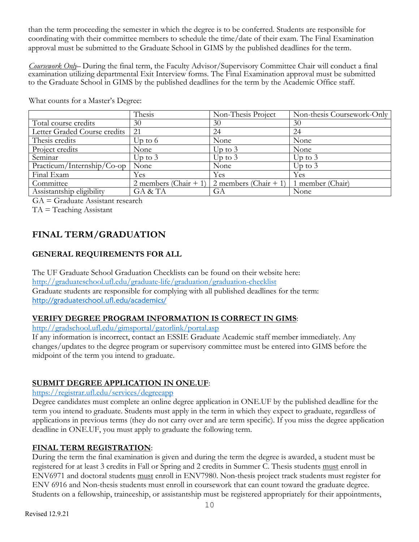than the term proceeding the semester in which the degree is to be conferred. Students are responsible for coordinating with their committee members to schedule the time/date of their exam. The Final Examination approval must be submitted to the Graduate School in GIMS by the published deadlines for the term.

*Coursework Only*– During the final term, the Faculty Advisor/Supervisory Committee Chair will conduct a final examination utilizing departmental Exit Interview forms. The Final Examination approval must be submitted to the Graduate School in GIMS by the published deadlines for the term by the Academic Office staff.

|                              | Thesis                | Non-Thesis Project    | Non-thesis Coursework-Only |
|------------------------------|-----------------------|-----------------------|----------------------------|
| Total course credits         | 30                    | 30                    | 30                         |
| Letter Graded Course credits | 21                    | 24                    | 24                         |
| Thesis credits               | Up to $6$             | None                  | None                       |
| Project credits              | None                  | Up to $3$             | None                       |
| Seminar                      | Up to $3$             | Up to $3$             | Up to $3$                  |
| Practicum/Internship/Co-op   | None                  | None                  | Up to $3$                  |
| Final Exam                   | Yes                   | Yes                   | Yes                        |
| Committee                    | 2 members (Chair + 1) | 2 members (Chair + 1) | 1 member (Chair)           |
| Assistantship eligibility    | GA & TA               | GA                    | None                       |

What counts for a Master's Degree:

GA = Graduate Assistant research

TA = Teaching Assistant

# **FINAL TERM/GRADUATION**

## **GENERAL REQUIREMENTS FOR ALL**

The UF Graduate School Graduation Checklists can be found on their website here: http://graduateschool.ufl.edu/graduate-life/graduation/graduation-checklist Graduate students are responsible for complying with all published deadlines for the term: http://graduateschool.ufl.edu/academics/

#### **VERIFY DEGREE PROGRAM INFORMATION IS CORRECT IN GIMS**:

http://gradschool.ufl.edu/gimsportal/gatorlink/portal.asp

If any information is incorrect, contact an ESSIE Graduate Academic staff member immediately. Any changes/updates to the degree program or supervisory committee must be entered into GIMS before the midpoint of the term you intend to graduate.

#### **SUBMIT DEGREE APPLICATION IN ONE.UF**:

## https://registrar.ufl.edu/services/degreeapp

Degree candidates must complete an online degree application in ONE.UF by the published deadline for the term you intend to graduate. Students must apply in the term in which they expect to graduate, regardless of applications in previous terms (they do not carry over and are term specific). If you miss the degree application deadline in ONE.UF, you must apply to graduate the following term.

#### **FINAL TERM REGISTRATION**:

During the term the final examination is given and during the term the degree is awarded, a student must be registered for at least 3 credits in Fall or Spring and 2 credits in Summer C. Thesis students must enroll in ENV6971 and doctoral students must enroll in ENV7980. Non-thesis project track students must register for ENV 6916 and Non-thesis students must enroll in coursework that can count toward the graduate degree. Students on a fellowship, traineeship, or assistantship must be registered appropriately for their appointments,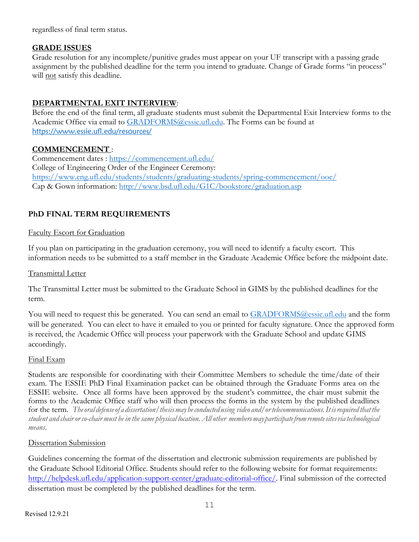regardless of final term status.

#### **GRADE ISSUES**

Grade resolution for any incomplete/punitive grades must appear on your UF transcript with a passing grade assignment by the published deadline for the term you intend to graduate. Change of Grade forms "in process" will not satisfy this deadline.

## **DEPARTMENTAL EXIT INTERVIEW**:

Before the end of the final term, all graduate students must submit the Departmental Exit Interview forms to the Academic Office via email to **GRADFORMS@essie.ufl.edu**. The Forms can be found at https://www.essie.ufl.edu/resources/

#### **COMMENCEMENT** :

Commencement dates : https://commencement.ufl.edu/ College of Engineering Order of the Engineer Ceremony: https://www.eng.ufl.edu/students/students/graduating-students/spring-commencement/ooe/ Cap & Gown information: http://www.bsd.ufl.edu/G1C/bookstore/graduation.asp

## **PhD FINAL TERM REQUIREMENTS**

#### Faculty Escort for Graduation

If you plan on participating in the graduation ceremony, you will need to identify a faculty escort. This information needs to be submitted to a staff member in the Graduate Academic Office before the midpoint date.

#### Transmittal Letter

The Transmittal Letter must be submitted to the Graduate School in GIMS by the published deadlines for the term.

You will need to request this be generated. You can send an email to GRADFORMS@essie.ufl.edu and the form will be generated. You can elect to have it emailed to you or printed for faculty signature. Once the approved form is received, the Academic Office will process your paperwork with the Graduate School and update GIMS accordingly.

#### Final Exam

Students are responsible for coordinating with their Committee Members to schedule the time/date of their exam. The ESSIE PhD Final Examination packet can be obtained through the Graduate Forms area on the ESSIE website. Once all forms have been approved by the student's committee, the chair must submit the forms to the Academic Office staff who will then process the forms in the system by the published deadlines for the term. *Theoral defenseof a dissertation/thesismay beconducted using video and/ortelecommunications.It isrequired that the* student and chair or co-chair must be in the same physical location. All other members may participate from remote sites via technological *means.*

#### Dissertation Submission

Guidelines concerning the format of the dissertation and electronic submission requirements are published by the Graduate School Editorial Office. Students should refer to the following website for format requirements: http://helpdesk.ufl.edu/application-support-center/graduate-editorial-office/. Final submission of the corrected dissertation must be completed by the published deadlines for the term.